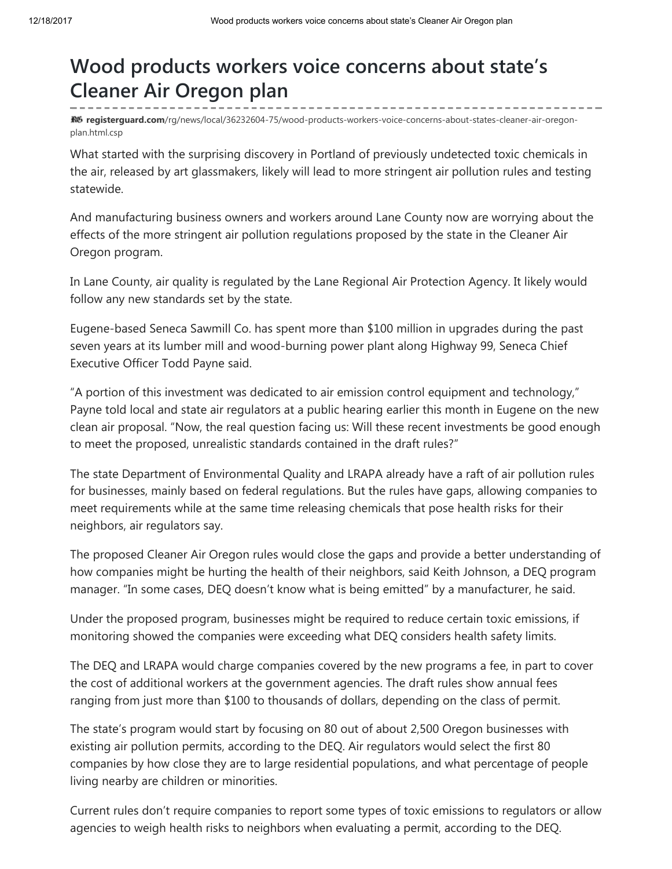## Wood products workers voice concerns about state's Cleaner Air Oregon plan

R6 registerguard.com[/rg/news/local/36232604-75/wood-products-workers-voice-concerns-about-states-cleaner-air-oregon](http://registerguard.com/rg/news/local/36232604-75/wood-products-workers-voice-concerns-about-states-cleaner-air-oregon-plan.html.csp)plan.html.csp

What started with the surprising discovery in Portland of previously undetected toxic chemicals in the air, released by art glassmakers, likely will lead to more stringent air pollution rules and testing statewide.

And manufacturing business owners and workers around Lane County now are worrying about the effects of the more stringent air pollution regulations proposed by the state in the Cleaner Air Oregon program.

In Lane County, air quality is regulated by the Lane Regional Air Protection Agency. It likely would follow any new standards set by the state.

Eugene-based Seneca Sawmill Co. has spent more than \$100 million in upgrades during the past seven years at its lumber mill and wood-burning power plant along Highway 99, Seneca Chief Executive Officer Todd Payne said.

"A portion of this investment was dedicated to air emission control equipment and technology," Payne told local and state air regulators at a public hearing earlier this month in Eugene on the new clean air proposal. "Now, the real question facing us: Will these recent investments be good enough to meet the proposed, unrealistic standards contained in the draft rules?"

The state Department of Environmental Quality and LRAPA already have a raft of air pollution rules for businesses, mainly based on federal regulations. But the rules have gaps, allowing companies to meet requirements while at the same time releasing chemicals that pose health risks for their neighbors, air regulators say.

The proposed Cleaner Air Oregon rules would close the gaps and provide a better understanding of how companies might be hurting the health of their neighbors, said Keith Johnson, a DEQ program manager. "In some cases, DEQ doesn't know what is being emitted" by a manufacturer, he said.

Under the proposed program, businesses might be required to reduce certain toxic emissions, if monitoring showed the companies were exceeding what DEQ considers health safety limits.

The DEQ and LRAPA would charge companies covered by the new programs a fee, in part to cover the cost of additional workers at the government agencies. The draft rules show annual fees ranging from just more than \$100 to thousands of dollars, depending on the class of permit.

The state's program would start by focusing on 80 out of about 2,500 Oregon businesses with existing air pollution permits, according to the DEQ. Air regulators would select the first 80 companies by how close they are to large residential populations, and what percentage of people living nearby are children or minorities.

Current rules don't require companies to report some types of toxic emissions to regulators or allow agencies to weigh health risks to neighbors when evaluating a permit, according to the DEQ.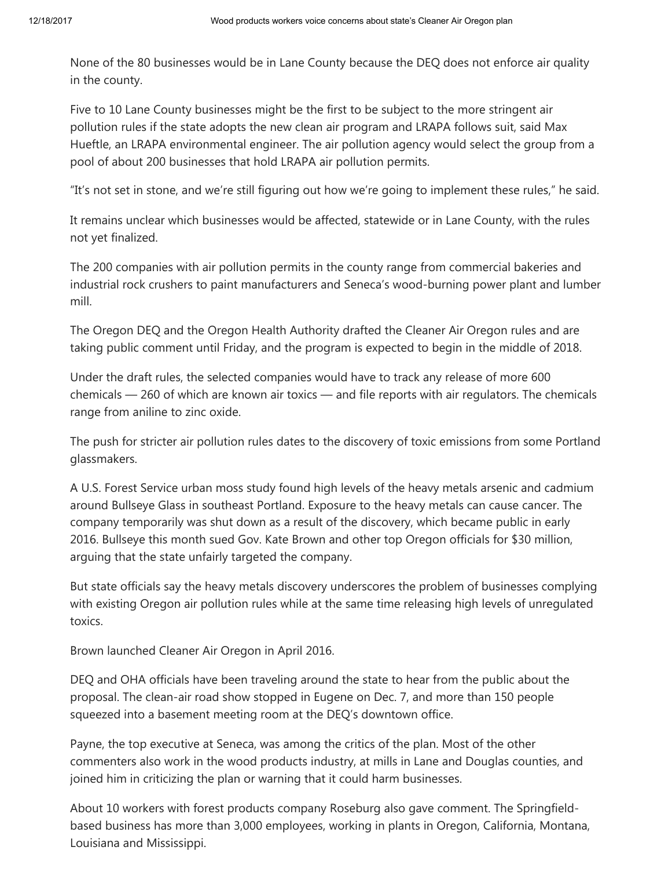None of the 80 businesses would be in Lane County because the DEQ does not enforce air quality in the county.

Five to 10 Lane County businesses might be the first to be subject to the more stringent air pollution rules if the state adopts the new clean air program and LRAPA follows suit, said Max Hueftle, an LRAPA environmental engineer. The air pollution agency would select the group from a pool of about 200 businesses that hold LRAPA air pollution permits.

"It's not set in stone, and we're still figuring out how we're going to implement these rules," he said.

It remains unclear which businesses would be affected, statewide or in Lane County, with the rules not yet finalized.

The 200 companies with air pollution permits in the county range from commercial bakeries and industrial rock crushers to paint manufacturers and Seneca's wood-burning power plant and lumber mill.

The Oregon DEQ and the Oregon Health Authority drafted the Cleaner Air Oregon rules and are taking public comment until Friday, and the program is expected to begin in the middle of 2018.

Under the draft rules, the selected companies would have to track any release of more 600 chemicals — 260 of which are known air toxics — and file reports with air regulators. The chemicals range from aniline to zinc oxide.

The push for stricter air pollution rules dates to the discovery of toxic emissions from some Portland glassmakers.

A U.S. Forest Service urban moss study found high levels of the heavy metals arsenic and cadmium around Bullseye Glass in southeast Portland. Exposure to the heavy metals can cause cancer. The company temporarily was shut down as a result of the discovery, which became public in early 2016. Bullseye this month sued Gov. Kate Brown and other top Oregon officials for \$30 million, arguing that the state unfairly targeted the company.

But state officials say the heavy metals discovery underscores the problem of businesses complying with existing Oregon air pollution rules while at the same time releasing high levels of unregulated toxics.

Brown launched Cleaner Air Oregon in April 2016.

DEQ and OHA officials have been traveling around the state to hear from the public about the proposal. The clean-air road show stopped in Eugene on Dec. 7, and more than 150 people squeezed into a basement meeting room at the DEQ's downtown office.

Payne, the top executive at Seneca, was among the critics of the plan. Most of the other commenters also work in the wood products industry, at mills in Lane and Douglas counties, and joined him in criticizing the plan or warning that it could harm businesses.

About 10 workers with forest products company Roseburg also gave comment. The Springfieldbased business has more than 3,000 employees, working in plants in Oregon, California, Montana, Louisiana and Mississippi.